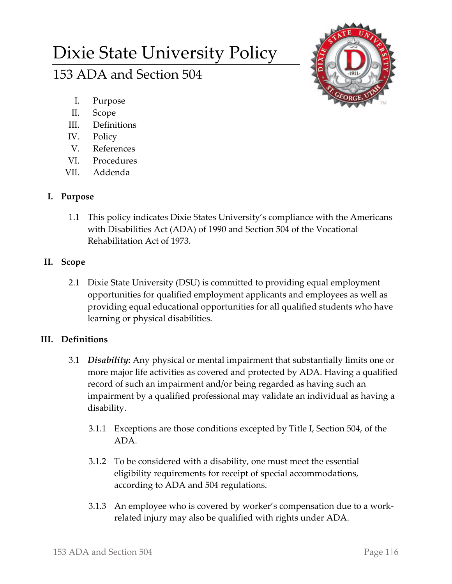# Dixie State University Policy

# 153 ADA and Section 504



- I. Purpose
- II. Scope
- III. Definitions
- IV. Policy
- V. References
- VI. Procedures
- VII. Addenda

# **I. Purpose**

1.1 This policy indicates Dixie States University's compliance with the Americans with Disabilities Act (ADA) of 1990 and Section 504 of the Vocational Rehabilitation Act of 1973.

# **II. Scope**

2.1 Dixie State University (DSU) is committed to providing equal employment opportunities for qualified employment applicants and employees as well as providing equal educational opportunities for all qualified students who have learning or physical disabilities.

## **III. Definitions**

- 3.1 *Disability***:** Any physical or mental impairment that substantially limits one or more major life activities as covered and protected by ADA. Having a qualified record of such an impairment and/or being regarded as having such an impairment by a qualified professional may validate an individual as having a disability.
	- 3.1.1 Exceptions are those conditions excepted by Title I, Section 504, of the ADA.
	- 3.1.2 To be considered with a disability, one must meet the essential eligibility requirements for receipt of special accommodations, according to ADA and 504 regulations.
	- 3.1.3 An employee who is covered by worker's compensation due to a work‐ related injury may also be qualified with rights under ADA.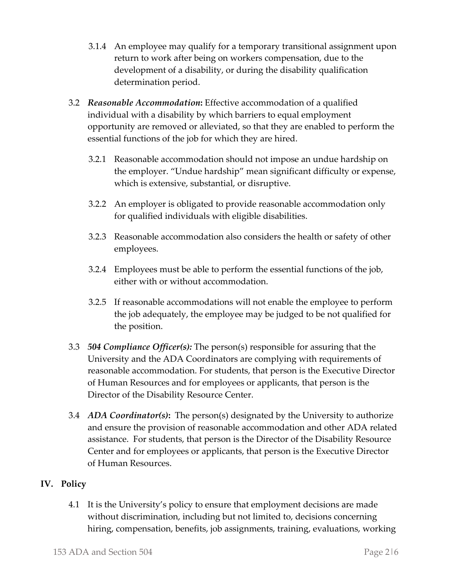- 3.1.4 An employee may qualify for a temporary transitional assignment upon return to work after being on workers compensation, due to the development of a disability, or during the disability qualification determination period.
- 3.2 *Reasonable Accommodation***:** Effective accommodation of a qualified individual with a disability by which barriers to equal employment opportunity are removed or alleviated, so that they are enabled to perform the essential functions of the job for which they are hired.
	- 3.2.1 Reasonable accommodation should not impose an undue hardship on the employer. "Undue hardship" mean significant difficulty or expense, which is extensive, substantial, or disruptive.
	- 3.2.2 An employer is obligated to provide reasonable accommodation only for qualified individuals with eligible disabilities.
	- 3.2.3 Reasonable accommodation also considers the health or safety of other employees.
	- 3.2.4 Employees must be able to perform the essential functions of the job, either with or without accommodation.
	- 3.2.5 If reasonable accommodations will not enable the employee to perform the job adequately, the employee may be judged to be not qualified for the position.
- 3.3 *504 Compliance Officer(s):* The person(s) responsible for assuring that the University and the ADA Coordinators are complying with requirements of reasonable accommodation. For students, that person is the Executive Director of Human Resources and for employees or applicants, that person is the Director of the Disability Resource Center.
- 3.4 *ADA Coordinator(s)***:** The person(s) designated by the University to authorize and ensure the provision of reasonable accommodation and other ADA related assistance. For students, that person is the Director of the Disability Resource Center and for employees or applicants, that person is the Executive Director of Human Resources.

### **IV. Policy**

4.1 It is the University's policy to ensure that employment decisions are made without discrimination, including but not limited to, decisions concerning hiring, compensation, benefits, job assignments, training, evaluations, working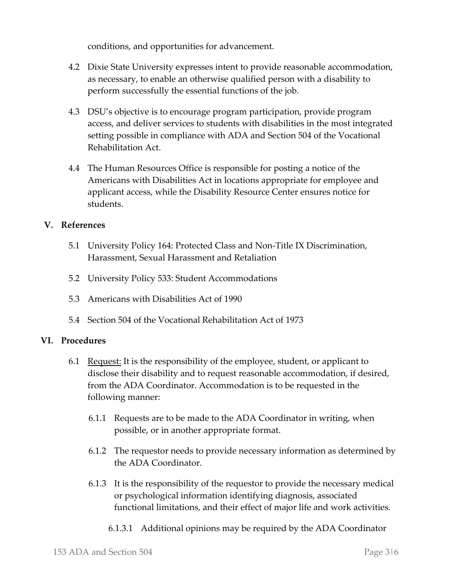conditions, and opportunities for advancement.

- 4.2 Dixie State University expresses intent to provide reasonable accommodation, as necessary, to enable an otherwise qualified person with a disability to perform successfully the essential functions of the job.
- 4.3 DSU's objective is to encourage program participation, provide program access, and deliver services to students with disabilities in the most integrated setting possible in compliance with ADA and Section 504 of the Vocational Rehabilitation Act.
- 4.4 The Human Resources Office is responsible for posting a notice of the Americans with Disabilities Act in locations appropriate for employee and applicant access, while the Disability Resource Center ensures notice for students.

#### **V. References**

- 5.1 University Policy 164: Protected Class and Non‐Title IX Discrimination, Harassment, Sexual Harassment and Retaliation
- 5.2 University Policy 533: Student Accommodations
- 5.3 Americans with Disabilities Act of 1990
- 5.4 Section 504 of the Vocational Rehabilitation Act of 1973

#### **VI. Procedures**

- 6.1 Request: It is the responsibility of the employee, student, or applicant to disclose their disability and to request reasonable accommodation, if desired, from the ADA Coordinator. Accommodation is to be requested in the following manner:
	- 6.1.1 Requests are to be made to the ADA Coordinator in writing, when possible, or in another appropriate format.
	- 6.1.2 The requestor needs to provide necessary information as determined by the ADA Coordinator.
	- 6.1.3 It is the responsibility of the requestor to provide the necessary medical or psychological information identifying diagnosis, associated functional limitations, and their effect of major life and work activities.
		- 6.1.3.1 Additional opinions may be required by the ADA Coordinator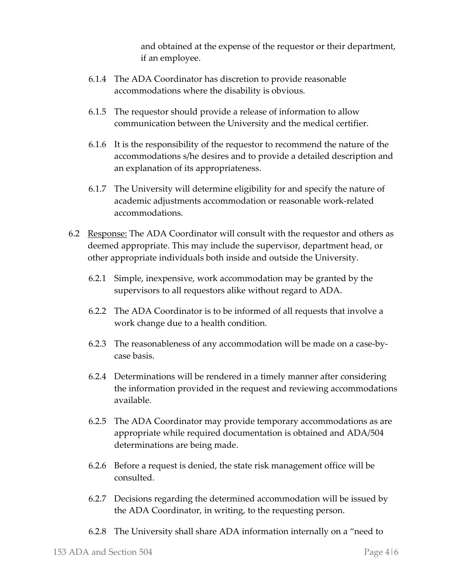and obtained at the expense of the requestor or their department, if an employee.

- 6.1.4 The ADA Coordinator has discretion to provide reasonable accommodations where the disability is obvious.
- 6.1.5 The requestor should provide a release of information to allow communication between the University and the medical certifier.
- 6.1.6 It is the responsibility of the requestor to recommend the nature of the accommodations s/he desires and to provide a detailed description and an explanation of its appropriateness.
- 6.1.7 The University will determine eligibility for and specify the nature of academic adjustments accommodation or reasonable work‐related accommodations.
- 6.2 Response: The ADA Coordinator will consult with the requestor and others as deemed appropriate. This may include the supervisor, department head, or other appropriate individuals both inside and outside the University.
	- 6.2.1 Simple, inexpensive, work accommodation may be granted by the supervisors to all requestors alike without regard to ADA.
	- 6.2.2 The ADA Coordinator is to be informed of all requests that involve a work change due to a health condition.
	- 6.2.3 The reasonableness of any accommodation will be made on a case‐by‐ case basis.
	- 6.2.4 Determinations will be rendered in a timely manner after considering the information provided in the request and reviewing accommodations available.
	- 6.2.5 The ADA Coordinator may provide temporary accommodations as are appropriate while required documentation is obtained and ADA/504 determinations are being made.
	- 6.2.6 Before a request is denied, the state risk management office will be consulted.
	- 6.2.7 Decisions regarding the determined accommodation will be issued by the ADA Coordinator, in writing, to the requesting person.
	- 6.2.8 The University shall share ADA information internally on a "need to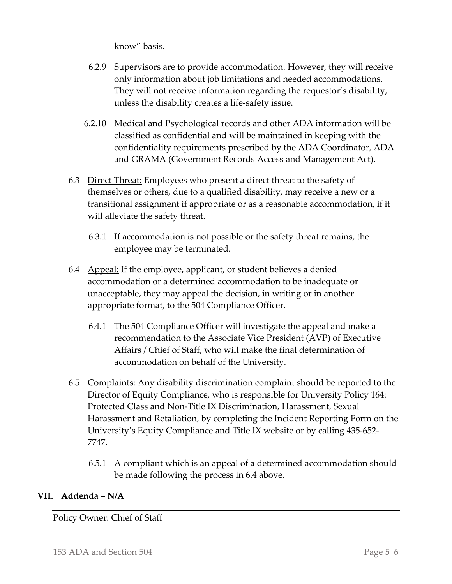know" basis.

- 6.2.9 Supervisors are to provide accommodation. However, they will receive only information about job limitations and needed accommodations. They will not receive information regarding the requestor's disability, unless the disability creates a life‐safety issue.
- 6.2.10 Medical and Psychological records and other ADA information will be classified as confidential and will be maintained in keeping with the confidentiality requirements prescribed by the ADA Coordinator, ADA and GRAMA (Government Records Access and Management Act).
- 6.3 Direct Threat: Employees who present a direct threat to the safety of themselves or others, due to a qualified disability, may receive a new or a transitional assignment if appropriate or as a reasonable accommodation, if it will alleviate the safety threat.
	- 6.3.1 If accommodation is not possible or the safety threat remains, the employee may be terminated.
- 6.4 Appeal: If the employee, applicant, or student believes a denied accommodation or a determined accommodation to be inadequate or unacceptable, they may appeal the decision, in writing or in another appropriate format, to the 504 Compliance Officer.
	- 6.4.1 The 504 Compliance Officer will investigate the appeal and make a recommendation to the Associate Vice President (AVP) of Executive Affairs / Chief of Staff, who will make the final determination of accommodation on behalf of the University.
- 6.5 Complaints: Any disability discrimination complaint should be reported to the Director of Equity Compliance, who is responsible for University Policy 164: Protected Class and Non‐Title IX Discrimination, Harassment, Sexual Harassment and Retaliation, by completing the Incident Reporting Form on the University's Equity Compliance and Title IX website or by calling 435‐652‐ 7747.
	- 6.5.1 A compliant which is an appeal of a determined accommodation should be made following the process in 6.4 above.

### **VII. Addenda – N/A**

Policy Owner: Chief of Staff